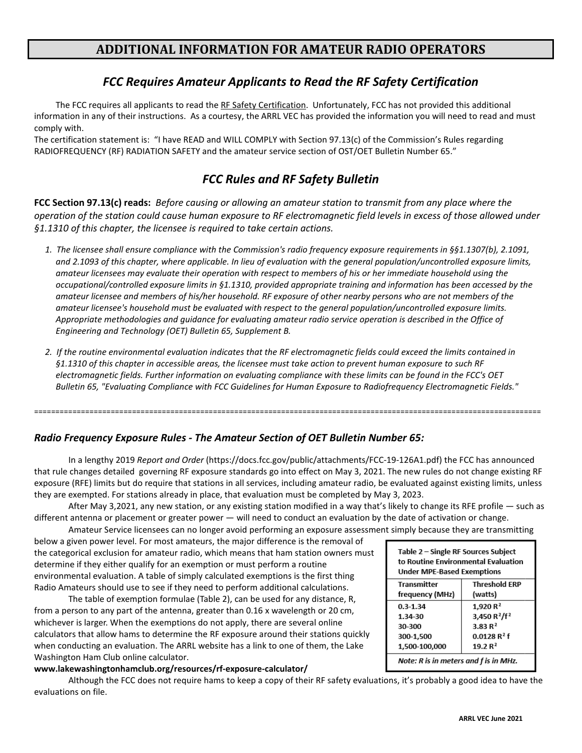# **ADDITIONAL INFORMATION FOR AMATEUR RADIO OPERATORS**

## *FCC Requires Amateur Applicants to Read the RF Safety Certification*

The FCC requires all applicants to read the RF Safety Certification. Unfortunately, FCC has not provided this additional information in any of their instructions. As a courtesy, the ARRL VEC has provided the information you will need to read and must comply with.

The certification statement is: "I have READ and WILL COMPLY with Section 97.13(c) of the Commission's Rules regarding RADIOFREQUENCY (RF) RADIATION SAFETY and the amateur service section of OST/OET Bulletin Number 65."

# *FCC Rules and RF Safety Bulletin*

**FCC Section 97.13(c) reads:** *Before causing or allowing an amateur station to transmit from any place where the operation of the station could cause human exposure to RF electromagnetic field levels in excess of those allowed under §1.1310 of this chapter, the licensee is required to take certain actions.*

- *1. The licensee shall ensure compliance with the Commission's radio frequency exposure requirements in §§1.1307(b), 2.1091, and 2.1093 of this chapter, where applicable. In lieu of evaluation with the general population/uncontrolled exposure limits, amateur licensees may evaluate their operation with respect to members of his or her immediate household using the occupational/controlled exposure limits in §1.1310, provided appropriate training and information has been accessed by the amateur licensee and members of his/her household. RF exposure of other nearby persons who are not members of the amateur licensee's household must be evaluated with respect to the general population/uncontrolled exposure limits. Appropriate methodologies and guidance for evaluating amateur radio service operation is described in the Office of Engineering and Technology (OET) Bulletin 65, Supplement B.*
- *2. If the routine environmental evaluation indicates that the RF electromagnetic fields could exceed the limits contained in §1.1310 of this chapter in accessible areas, the licensee must take action to prevent human exposure to such RF electromagnetic fields. Further information on evaluating compliance with these limits can be found in the FCC's OET Bulletin 65, "Evaluating Compliance with FCC Guidelines for Human Exposure to Radiofrequency Electromagnetic Fields."*

=======================================================================================================================

### *Radio Frequency Exposure Rules - The Amateur Section of OET Bulletin Number 65:*

In a lengthy 2019 *Report and Order* (https://docs.fcc.gov/public/attachments/FCC-19-126A1.pdf) the FCC has announced that rule changes detailed governing RF exposure standards go into effect on May 3, 2021. The new rules do not change existing RF exposure (RFE) limits but do require that stations in all services, including amateur radio, be evaluated against existing limits, unless they are exempted. For stations already in place, that evaluation must be completed by May 3, 2023.

After May 3,2021, any new station, or any existing station modified in a way that's likely to change its RFE profile — such as different antenna or placement or greater power — will need to conduct an evaluation by the date of activation or change.

Amateur Service licensees can no longer avoid performing an exposure assessment simply because they are transmitting below a given power level. For most amateurs, the major difference is the removal of the categorical exclusion for amateur radio, which means that ham station owners must determine if they either qualify for an exemption or must perform a routine environmental evaluation. A table of simply calculated exemptions is the first thing Radio Amateurs should use to see if they need to perform additional calculations.

The table of exemption formulae (Table 2), can be used for any distance, R, from a person to any part of the antenna, greater than 0.16 x wavelength or 20 cm, whichever is larger. When the exemptions do not apply, there are several online calculators that allow hams to determine the RF exposure around their stations quickly when conducting an evaluation. The ARRL website has a link to one of them, the Lake Washington Ham Club online calculator.

#### **www.lakewashingtonhamclub.org/resources/rf-exposure-calculator/**

Although the FCC does not require hams to keep a copy of their RF safety evaluations, it's probably a good idea to have the evaluations on file.

| Table 2 – Single RF Sources Subject<br>to Routine Environmental Evaluation<br><b>Under MPE-Based Exemptions</b> |                                      |  |  |  |  |  |
|-----------------------------------------------------------------------------------------------------------------|--------------------------------------|--|--|--|--|--|
| <b>Transmitter</b>                                                                                              | <b>Threshold ERP</b>                 |  |  |  |  |  |
| frequency (MHz)                                                                                                 | (watts)                              |  |  |  |  |  |
| $0.3 - 1.34$                                                                                                    | 1,920 $R^2$                          |  |  |  |  |  |
| 1.34-30                                                                                                         | 3,450 R <sup>2</sup> /f <sup>2</sup> |  |  |  |  |  |
| 30-300                                                                                                          | 3.83R <sup>2</sup>                   |  |  |  |  |  |
| 300-1,500                                                                                                       | $0.0128R^2f$                         |  |  |  |  |  |
| 1,500-100,000                                                                                                   | 19.2 $R^2$                           |  |  |  |  |  |
| Note: R is in meters and f is in MHz.                                                                           |                                      |  |  |  |  |  |